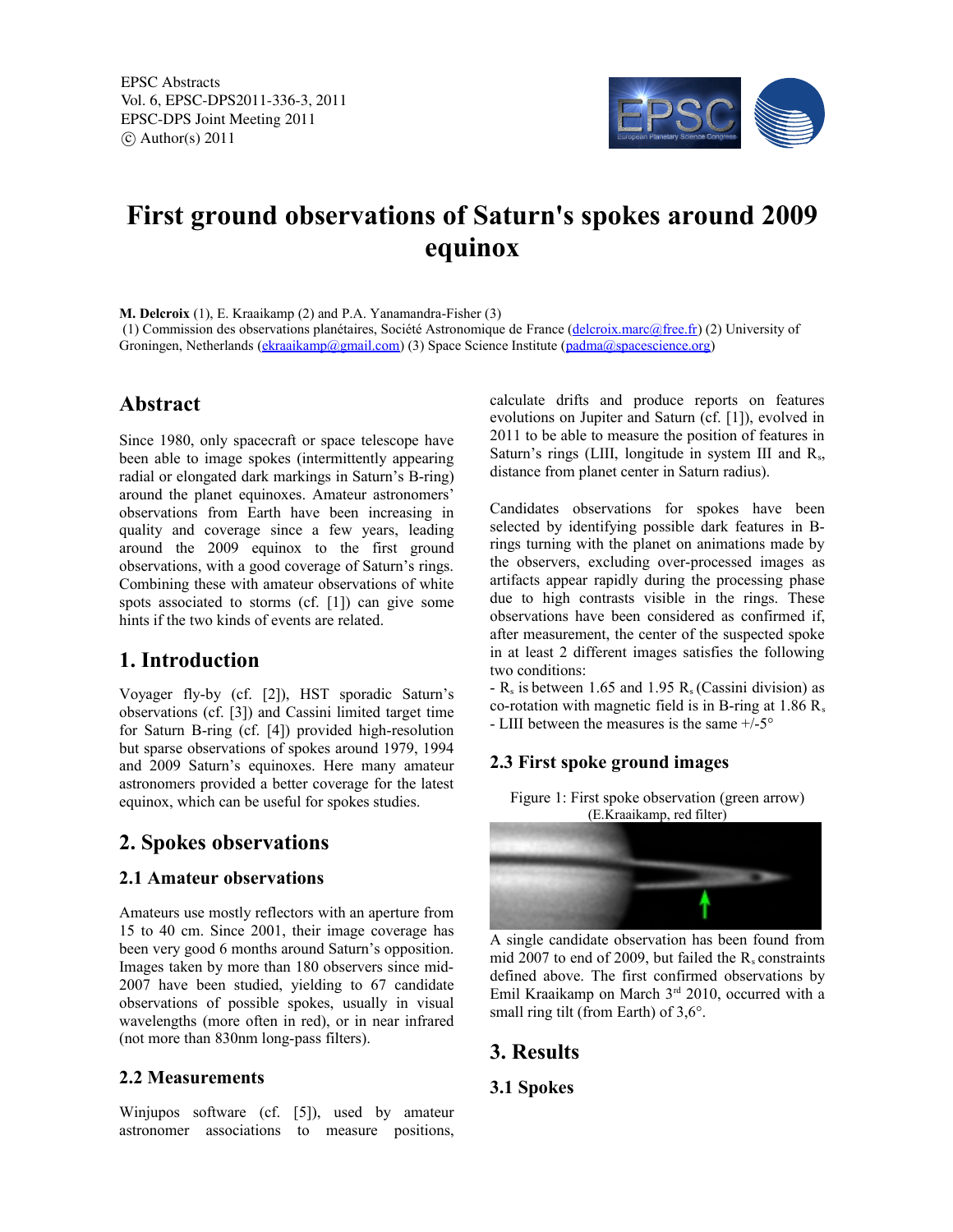EPSC Abstracts Vol. 6, EPSC-DPS2011-336-3, 2011 EPSC-DPS Joint Meeting 2011  $\circ$  Author(s) 2011



# **First ground observations of Saturn's spokes around 2009 equinox**

**M. Delcroix** (1), E. Kraaikamp (2) and P.A. Yanamandra-Fisher (3) (1) Commission des observations planétaires, Société Astronomique de France (delcroix.marc@free.fr) (2) University of Groningen, Netherlands (ekraaikamp@gmail.com) (3) Space Science Institute (padma@spacescience.org)

## **Abstract**

Since 1980, only spacecraft or space telescope have been able to image spokes (intermittently appearing radial or elongated dark markings in Saturn's B-ring) around the planet equinoxes. Amateur astronomers' observations from Earth have been increasing in quality and coverage since a few years, leading around the 2009 equinox to the first ground observations, with a good coverage of Saturn's rings. Combining these with amateur observations of white spots associated to storms (cf. [1]) can give some hints if the two kinds of events are related.

# **1. Introduction**

Voyager fly-by (cf. [2]), HST sporadic Saturn's observations (cf. [3]) and Cassini limited target time for Saturn B-ring (cf. [4]) provided high-resolution but sparse observations of spokes around 1979, 1994 and 2009 Saturn's equinoxes. Here many amateur astronomers provided a better coverage for the latest equinox, which can be useful for spokes studies.

# **2. Spokes observations**

### **2.1 Amateur observations**

Amateurs use mostly reflectors with an aperture from 15 to 40 cm. Since 2001, their image coverage has been very good 6 months around Saturn's opposition. Images taken by more than 180 observers since mid-2007 have been studied, yielding to 67 candidate observations of possible spokes, usually in visual wavelengths (more often in red), or in near infrared (not more than 830nm long-pass filters).

### **2.2 Measurements**

Winjupos software (cf. [5]), used by amateur astronomer associations to measure positions, calculate drifts and produce reports on features evolutions on Jupiter and Saturn (cf. [1]), evolved in 2011 to be able to measure the position of features in Saturn's rings (LIII, longitude in system III and  $R_s$ , distance from planet center in Saturn radius).

Candidates observations for spokes have been selected by identifying possible dark features in Brings turning with the planet on animations made by the observers, excluding over-processed images as artifacts appear rapidly during the processing phase due to high contrasts visible in the rings. These observations have been considered as confirmed if, after measurement, the center of the suspected spoke in at least 2 different images satisfies the following two conditions:

 $-R_s$  is between 1.65 and 1.95  $R_s$  (Cassini division) as co-rotation with magnetic field is in B-ring at  $1.86$  R<sub>s</sub> - LIII between the measures is the same +/-5°

## **2.3 First spoke ground images**

Figure 1: First spoke observation (green arrow) (E.Kraaikamp, red filter)



A single candidate observation has been found from mid 2007 to end of 2009, but failed the  $R_s$  constraints defined above. The first confirmed observations by Emil Kraaikamp on March 3<sup>rd</sup> 2010, occurred with a small ring tilt (from Earth) of 3,6°.

## **3. Results**

### **3.1 Spokes**